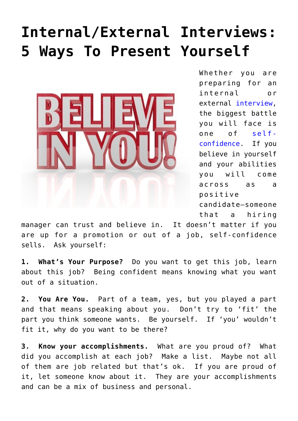## **[Internal/External Interviews:](https://www.commpro.biz/internalexternal-interviews-5-ways-to-present-yourself/) [5 Ways To Present Yourself](https://www.commpro.biz/internalexternal-interviews-5-ways-to-present-yourself/)**



Whether you are preparing for an internal or external [interview,](https://www.commpro.biz/hiring-hub-blog/) the biggest battle you will face is one of [self](https://www.google.com/webhp?sourceid=chrome-instant&ion=1&espv=2&ie=UTF-8#q=self-confidence)[confidence](https://www.google.com/webhp?sourceid=chrome-instant&ion=1&espv=2&ie=UTF-8#q=self-confidence). If you believe in yourself and your abilities you will come across as a positive candidate—someone that a hiring

manager can trust and believe in. It doesn't matter if you are up for a promotion or out of a job, self-confidence sells. Ask yourself:

**1. What's Your Purpose?** Do you want to get this job, learn about this job? Being confident means knowing what you want out of a situation.

**2. You Are You.** Part of a team, yes, but you played a part and that means speaking about you. Don't try to 'fit' the part you think someone wants. Be yourself. If 'you' wouldn't fit it, why do you want to be there?

**3. Know your accomplishments.** What are you proud of? What did you accomplish at each job? Make a list. Maybe not all of them are job related but that's ok. If you are proud of it, let someone know about it. They are your accomplishments and can be a mix of business and personal.